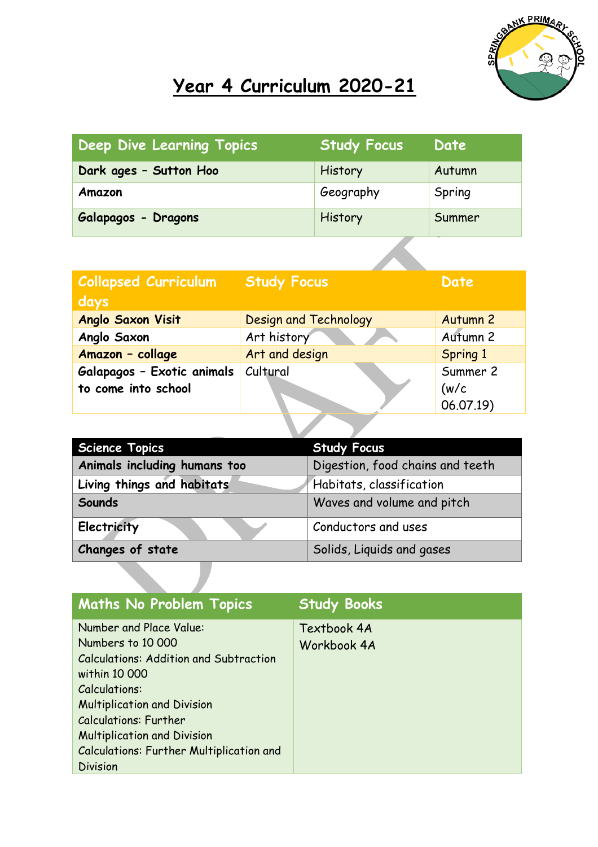

## **Year 4 Curriculum 2020-21**

| Deep Dive Learning Topics | <b>Study Focus</b> | Date   |
|---------------------------|--------------------|--------|
| Dark ages - Sutton Hoo    | History            | Autumn |
| Amazon                    | Geography          | Spring |
| Galapagos - Dragons       | History            | Summer |

| <b>Collapsed Curriculum</b><br>days | <b>Study Focus</b>           | Date      |
|-------------------------------------|------------------------------|-----------|
| <b>Anglo Saxon Visit</b>            | <b>Design and Technology</b> | Autumn 2  |
| Anglo Saxon                         | Art history                  | Autumn 2  |
| Amazon - collage                    | Art and design               | Spring 1  |
| Galapagos - Exotic animals          | Cultural                     | Summer 2  |
| to come into school                 |                              | (w/c)     |
|                                     |                              | 06.07.19) |
|                                     |                              |           |

| <b>Science Topics</b>        | <b>Study Focus</b>               |  |
|------------------------------|----------------------------------|--|
| Animals including humans too | Digestion, food chains and teeth |  |
| Living things and habitats   | Habitats, classification         |  |
| Sounds                       | Waves and volume and pitch       |  |
| <b>Electricity</b>           | Conductors and uses              |  |
| Changes of state             | Solids, Liquids and gases        |  |
|                              |                                  |  |

| <b>Maths No Problem Topics</b>                                                                                                                                                                                                                                                                | <b>Study Books</b>         |
|-----------------------------------------------------------------------------------------------------------------------------------------------------------------------------------------------------------------------------------------------------------------------------------------------|----------------------------|
| Number and Place Value:<br>Numbers to 10000<br><b>Calculations: Addition and Subtraction</b><br>within 10 000<br>Calculations:<br><b>Multiplication and Division</b><br><b>Calculations: Further</b><br><b>Multiplication and Division</b><br><b>Calculations: Further Multiplication and</b> | Textbook 4A<br>Workbook 4A |
| <b>Division</b>                                                                                                                                                                                                                                                                               |                            |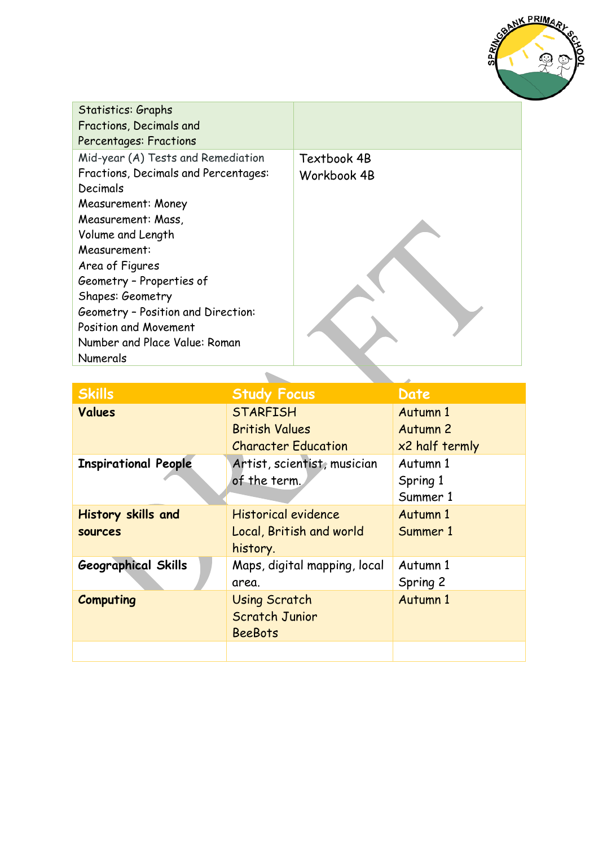

Statistics: Graphs Fractions, Decimals and Percentages: Fractions Mid-year (A) Tests and Remediation Fractions, Decimals and Percentages: Decimals Measurement: Money Measurement: Mass, Volume and Length Measurement: Area of Figures Geometry – Properties of Shapes: Geometry Geometry – Position and Direction: Position and Movement Number and Place Value: Roman Numerals

Textbook 4B Workbook 4B